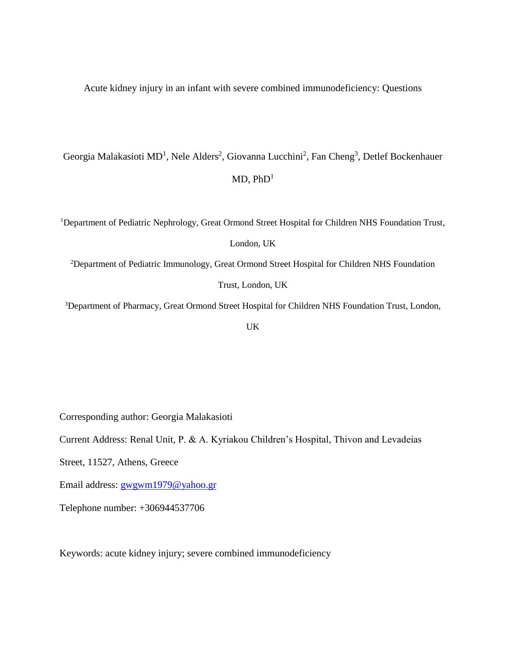Acute kidney injury in an infant with severe combined immunodeficiency: Questions

## Georgia Malakasioti MD<sup>1</sup>, Nele Alders<sup>2</sup>, Giovanna Lucchini<sup>2</sup>, Fan Cheng<sup>3</sup>, Detlef Bockenhauer  $MD$ ,  $PhD<sup>1</sup>$

<sup>1</sup>Department of Pediatric Nephrology, Great Ormond Street Hospital for Children NHS Foundation Trust,

## London, UK

<sup>2</sup>Department of Pediatric Immunology, Great Ormond Street Hospital for Children NHS Foundation

Trust, London, UK

<sup>3</sup>Department of Pharmacy, Great Ormond Street Hospital for Children NHS Foundation Trust, London,

UK

Corresponding author: Georgia Malakasioti

Current Address: Renal Unit, P. & A. Kyriakou Children's Hospital, Thivon and Levadeias

Street, 11527, Athens, Greece

Email address: [gwgwm1979@yahoo.gr](mailto:gwgwm1979@yahoo.gr)

Telephone number: +306944537706

Keywords: acute kidney injury; severe combined immunodeficiency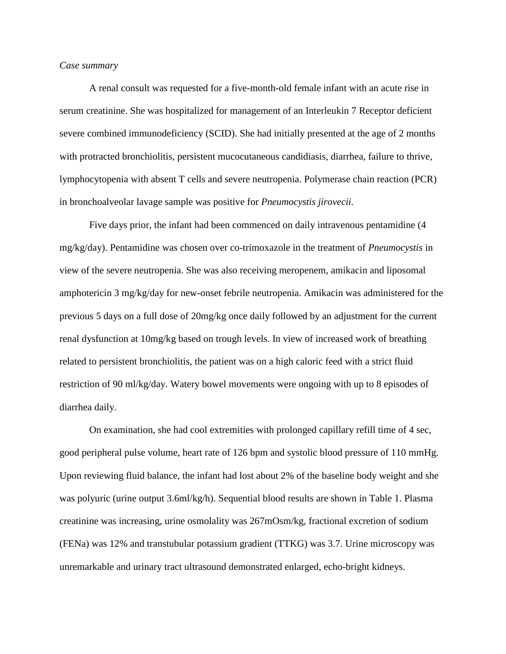## *Case summary*

A renal consult was requested for a five-month-old female infant with an acute rise in serum creatinine. She was hospitalized for management of an Interleukin 7 Receptor deficient severe combined immunodeficiency (SCID). She had initially presented at the age of 2 months with protracted bronchiolitis, persistent mucocutaneous candidiasis, diarrhea, failure to thrive, lymphocytopenia with absent T cells and severe neutropenia. Polymerase chain reaction (PCR) in bronchoalveolar lavage sample was positive for *Pneumocystis jirovecii.*

Five days prior, the infant had been commenced on daily intravenous pentamidine (4 mg/kg/day). Pentamidine was chosen over co-trimoxazole in the treatment of *Pneumocystis* in view of the severe neutropenia. She was also receiving meropenem, amikacin and liposomal amphotericin 3 mg/kg/day for new-onset febrile neutropenia. Amikacin was administered for the previous 5 days on a full dose of 20mg/kg once daily followed by an adjustment for the current renal dysfunction at 10mg/kg based on trough levels. In view of increased work of breathing related to persistent bronchiolitis, the patient was on a high caloric feed with a strict fluid restriction of 90 ml/kg/day. Watery bowel movements were ongoing with up to 8 episodes of diarrhea daily.

On examination, she had cool extremities with prolonged capillary refill time of 4 sec, good peripheral pulse volume, heart rate of 126 bpm and systolic blood pressure of 110 mmHg. Upon reviewing fluid balance, the infant had lost about 2% of the baseline body weight and she was polyuric (urine output 3.6ml/kg/h). Sequential blood results are shown in Table 1. Plasma creatinine was increasing, urine osmolality was 267mOsm/kg, fractional excretion of sodium (FENa) was 12% and transtubular potassium gradient (TTKG) was 3.7. Urine microscopy was unremarkable and urinary tract ultrasound demonstrated enlarged, echo-bright kidneys.